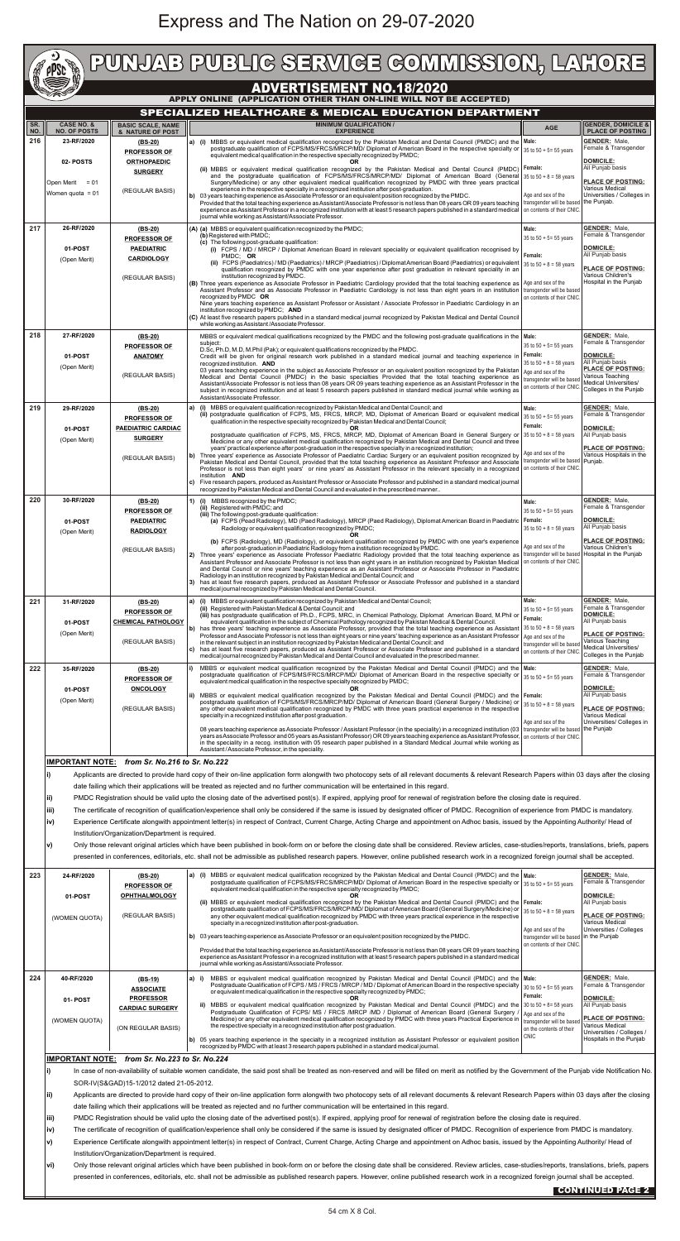## Express and The Nation on 29-07-2020

|                                                                                                                                                                                                                                                    | $\star$<br><b>RADIO</b><br>ppse                                                                                                                                                                                                                                                                                                                                                                                                                                                                                                                                                                                                                                                                                                                                                             |                                                                                                                                                                                                                                                                                                                                                                                                                                                                                                                                                                                                                              | PUNJAB PUBLIG SERVIGE GOMMISSION, LAHORE                                                                                                                                                                                                                                                                                                                                                                                                                                                                                                                                                                                                                                                                                                                                                                                                                                                                       |                                                                                                                              |                                                                                                                                                                        |  |
|----------------------------------------------------------------------------------------------------------------------------------------------------------------------------------------------------------------------------------------------------|---------------------------------------------------------------------------------------------------------------------------------------------------------------------------------------------------------------------------------------------------------------------------------------------------------------------------------------------------------------------------------------------------------------------------------------------------------------------------------------------------------------------------------------------------------------------------------------------------------------------------------------------------------------------------------------------------------------------------------------------------------------------------------------------|------------------------------------------------------------------------------------------------------------------------------------------------------------------------------------------------------------------------------------------------------------------------------------------------------------------------------------------------------------------------------------------------------------------------------------------------------------------------------------------------------------------------------------------------------------------------------------------------------------------------------|----------------------------------------------------------------------------------------------------------------------------------------------------------------------------------------------------------------------------------------------------------------------------------------------------------------------------------------------------------------------------------------------------------------------------------------------------------------------------------------------------------------------------------------------------------------------------------------------------------------------------------------------------------------------------------------------------------------------------------------------------------------------------------------------------------------------------------------------------------------------------------------------------------------|------------------------------------------------------------------------------------------------------------------------------|------------------------------------------------------------------------------------------------------------------------------------------------------------------------|--|
| <b>ADVERTISEMENT NO.18/2020</b><br>APPLY ONLINE (APPLICATION OTHER THAN ON-LINE WILL NOT BE ACCEPTED)                                                                                                                                              |                                                                                                                                                                                                                                                                                                                                                                                                                                                                                                                                                                                                                                                                                                                                                                                             |                                                                                                                                                                                                                                                                                                                                                                                                                                                                                                                                                                                                                              |                                                                                                                                                                                                                                                                                                                                                                                                                                                                                                                                                                                                                                                                                                                                                                                                                                                                                                                |                                                                                                                              |                                                                                                                                                                        |  |
| SPECIALIZED HEALTHCARE & MEDICAL EDUCATION DEPARTMENT<br><b>CASE NO. &amp;</b><br><b>MINIMUM QUALIFICATION /</b><br><b>GENDER, DOMICILE &amp;</b><br>SR.<br><b>BASIC SCALE, NAME</b>                                                               |                                                                                                                                                                                                                                                                                                                                                                                                                                                                                                                                                                                                                                                                                                                                                                                             |                                                                                                                                                                                                                                                                                                                                                                                                                                                                                                                                                                                                                              |                                                                                                                                                                                                                                                                                                                                                                                                                                                                                                                                                                                                                                                                                                                                                                                                                                                                                                                |                                                                                                                              |                                                                                                                                                                        |  |
| NO.<br>216                                                                                                                                                                                                                                         | <b>NO. OF POSTS</b><br>23-RF/2020<br>02-POSTS                                                                                                                                                                                                                                                                                                                                                                                                                                                                                                                                                                                                                                                                                                                                               | & NATURE OF POST<br>$(BS-20)$<br><b>PROFESSOR OF</b><br><b>ORTHOPAEDIC</b>                                                                                                                                                                                                                                                                                                                                                                                                                                                                                                                                                   | <b>EXPERIENCE</b><br>a) (i) MBBS or equivalent medical qualification recognized by the Pakistan Medical and Dental Council (PMDC) and the Male:<br>postgraduate qualification of FCPS/MS/FRCS/MRCP/MD/ Diplomat of American Board in the respective specialty or<br>equivalent medical qualification in the respective specialty recognized by PMDC;                                                                                                                                                                                                                                                                                                                                                                                                                                                                                                                                                           | <b>AGE</b><br>35 to $50 + 5 = 55$ years                                                                                      | <b>PLACE OF POSTING</b><br><b>GENDER: Male,</b><br>Female & Transgender<br><b>DOMICILE:</b>                                                                            |  |
|                                                                                                                                                                                                                                                    | Open Merit<br>$= 01$<br>Women quota = 01                                                                                                                                                                                                                                                                                                                                                                                                                                                                                                                                                                                                                                                                                                                                                    | <b>SURGERY</b><br>(REGULAR BASIS)                                                                                                                                                                                                                                                                                                                                                                                                                                                                                                                                                                                            | (ii) MBBS or equivalent medical qualification recognized by the Pakistan Medical and Dental Council (PMDC) Female:<br>and the postgraduate qualification of FCPS/MS/FRCS/MRCP/MD/ Diplomat of American Board (General $35$ to $50 + 8 = 58$ years<br>Surgery/Medicine) or any other equivalent medical qualification recognized by PMDC with three years practical<br>experience in the respective specialty in a recognized institution after post-graduation.<br>$ b $ 03 years teaching experience as Associate Professor or an equivalent position recognized by the PMDC.                                                                                                                                                                                                                                                                                                                                 | Age and sex of the                                                                                                           | All Punjab basis<br><b>PLACE OF POSTING:</b><br>Various Medical<br>Universities / Colleges in<br>the Punjab.                                                           |  |
| 217                                                                                                                                                                                                                                                | 26-RF/2020                                                                                                                                                                                                                                                                                                                                                                                                                                                                                                                                                                                                                                                                                                                                                                                  | $(BS-20)$                                                                                                                                                                                                                                                                                                                                                                                                                                                                                                                                                                                                                    | Provided that the total teaching experience as Assistant/Associate Professor is not less than 08 years OR 09 years teaching transgender will be based<br>experience as Assistant Professor in a recognized institution with at least 5 research papers published in a standard medical on contents of their CNIC.<br>journal while working as Assistant/Associate Professor.<br>(A) (a) MBBS or equivalent qualification recognized by the PMDC;<br>(b) Registered with PMDC;                                                                                                                                                                                                                                                                                                                                                                                                                                  | Male:                                                                                                                        | <b>GENDER: Male.</b><br>Female & Transgender                                                                                                                           |  |
|                                                                                                                                                                                                                                                    | 01-POST<br>(Open Merit)                                                                                                                                                                                                                                                                                                                                                                                                                                                                                                                                                                                                                                                                                                                                                                     | <b>PROFESSOR OF</b><br><b>PAEDIATRIC</b><br><b>CARDIOLOGY</b><br>(REGULAR BASIS)                                                                                                                                                                                                                                                                                                                                                                                                                                                                                                                                             | (c) The following post-graduate qualification:<br>(i) FCPS / MD / MRCP / Diplomat American Board in relevant speciality or equivalent qualification recognised by<br>PMDC: OR<br>(ii) FCPS (Paediatrics) / MD (Paediatrics) / MRCP (Paediatrics) / Diplomat American Board (Paediatrics) or equivalent $ 35 \text{ to } 50 + 8 = 58 \text{ years}$<br>qualification recognized by PMDC with one year experience after post graduation in relevant speciality in an<br>institution recognized by PMDC.<br>(B) Three years experience as Associate Professor in Paediatric Cardiology provided that the total teaching experience as   Age and sex of the<br>Assistant Professor and as Associate Professor in Paediatric Cardiology is not less than eight years in an institution transgender will be based<br>recognized by PMDC OR                                                                           | 35 to $50 + 5 = 55$ years<br>Female:<br>on contents of their CNIC.                                                           | <b>DOMICILE:</b><br>All Punjab basis<br><b>PLACE OF POSTING:</b><br>Various Children's<br>Hospital in the Punjab                                                       |  |
|                                                                                                                                                                                                                                                    | 27-RF/2020                                                                                                                                                                                                                                                                                                                                                                                                                                                                                                                                                                                                                                                                                                                                                                                  |                                                                                                                                                                                                                                                                                                                                                                                                                                                                                                                                                                                                                              | Nine years teaching experience as Assistant Professor or Assistant / Associate Professor in Paediatric Cardiology in an<br>institution recognized by PMDC; AND<br>(C) At least five research papers published in a standard medical journal recognized by Pakistan Medical and Dental Council<br>while working as Assistant / Associate Professor.                                                                                                                                                                                                                                                                                                                                                                                                                                                                                                                                                             |                                                                                                                              | <b>GENDER: Male,</b>                                                                                                                                                   |  |
| 218                                                                                                                                                                                                                                                | 01-POST<br>(Open Merit)                                                                                                                                                                                                                                                                                                                                                                                                                                                                                                                                                                                                                                                                                                                                                                     | $(BS-20)$<br><b>PROFESSOR OF</b><br><b>ANATOMY</b><br>(REGULAR BASIS)                                                                                                                                                                                                                                                                                                                                                                                                                                                                                                                                                        | MBBS or equivalent medical qualifications recognized by the PMDC and the following post-graduate qualifications in the Male:<br>subject:<br>D.Sc, Ph.D, M.D, M.Phil (Pak); or equivalent qualifications recognized by the PMDC.<br>Credit will be given for original research work published in a standard medical journal and teaching experience in<br>recognized institution. AND<br>03 years teaching experience in the subject as Associate Professor or an equivalent position recognized by the Pakistan   Age and sex of the<br>Medical and Dental Council (PMDC) in the basic specialties Provided that the total teaching experience as<br>Assistant/Associate Professor is not less than 08 years OR 09 years teaching experience as an Assistant Professor in the<br>subject in recognized institution and at least 5 research papers published in standard medical journal while working as       | 35 to $50 + 5 = 55$ years<br>Female:<br>35 to $50 + 8 = 58$ years<br>transgender will be based<br>on contents of their CNIC. | Female & Transgender<br><b>DOMICILE:</b><br>All Punjab basis<br><b>PLACE OF POSTING:</b><br>Various Teaching<br><b>Medical Universities/</b><br>Colleges in the Puniab |  |
| 219                                                                                                                                                                                                                                                | 29-RF/2020<br>01-POST                                                                                                                                                                                                                                                                                                                                                                                                                                                                                                                                                                                                                                                                                                                                                                       | $(BS-20)$<br><b>PROFESSOR OF</b><br><b>PAEDIATRIC CARDIAC</b>                                                                                                                                                                                                                                                                                                                                                                                                                                                                                                                                                                | Assistant/Associate Professor.<br>a) (i) MBBS or equivalent qualification recognized by Pakistan Medical and Dental Council; and<br>(ii) postgraduate qualification of FCPS, MS, FRCS, MRCP, MD, Diplomat of American Board or equivalent medical<br>gualification in the respective specialty recognized by Pakistan Medical and Dental Council;<br>postgraduate qualification of FCPS, MS, FRCS, MRCP, MD, Diplomat of American Board in General Surgery or 35 to 50 + 8 = 58 years                                                                                                                                                                                                                                                                                                                                                                                                                          | Male:<br>35 to $50 + 5 = 55$ years<br>Female:                                                                                | <b>GENDER: Male,</b><br>Female & Transgender<br><b>DOMICILE:</b><br>All Punjab basis                                                                                   |  |
|                                                                                                                                                                                                                                                    | (Open Merit)                                                                                                                                                                                                                                                                                                                                                                                                                                                                                                                                                                                                                                                                                                                                                                                | <b>SURGERY</b><br>(REGULAR BASIS)                                                                                                                                                                                                                                                                                                                                                                                                                                                                                                                                                                                            | Medicine or any other equivalent medical qualification recognized by Pakistan Medical and Dental Council and three<br>years' practical experience after post-graduation in the respective specialty in a recognized institution;<br>b) Three years' experience as Associate Professor of Paediatric Cardiac Surgery or an equivalent position recognized by<br>Pakistan Medical and Dental Council, provided that the total teaching experience as Assistant Professor and Associate<br>Professor is not less than eight years' or nine years' as Assistant Professor in the relevant specialty in a recognized on contents of their CNIC<br>institution <b>AND</b><br>$ c $ Five research papers, produced as Assistant Professor or Associate Professor and published in a standard medical journal<br>recognized by Pakistan Medical and Dental Council and evaluated in the prescribed manner              | Age and sex of the<br>transgender will be based                                                                              | <b>PLACE OF POSTING:</b><br>Various Hospitals in the<br>Puniab.                                                                                                        |  |
| 220                                                                                                                                                                                                                                                | 30-RF/2020<br>01-POST<br>(Open Merit)                                                                                                                                                                                                                                                                                                                                                                                                                                                                                                                                                                                                                                                                                                                                                       | $(BS-20)$<br><b>PROFESSOR OF</b><br><b>PAEDIATRIC</b><br><b>RADIOLOGY</b>                                                                                                                                                                                                                                                                                                                                                                                                                                                                                                                                                    | MBBS recognized by the PMDC;<br>1) (i)<br>(ii) Registered with PMDC; and<br>(iii) The following post-graduate qualification:<br>(a) FCPS (Pead Radiology), MD (Paed Radiology), MRCP (Paed Radiology), Diplomat American Board in Paediatric Female:<br>Radiology or equivalent qualification recognized by PMDC;                                                                                                                                                                                                                                                                                                                                                                                                                                                                                                                                                                                              | Male:<br>35 to $50 + 5 = 55$ years<br>35 to $50 + 8 = 58$ years                                                              | <b>GENDER: Male,</b><br>Female & Transgender<br><b>DOMICILE:</b><br>All Punjab basis                                                                                   |  |
|                                                                                                                                                                                                                                                    |                                                                                                                                                                                                                                                                                                                                                                                                                                                                                                                                                                                                                                                                                                                                                                                             | (REGULAR BASIS)                                                                                                                                                                                                                                                                                                                                                                                                                                                                                                                                                                                                              | OR<br>(b) FCPS (Radiology), MD (Radiology), or equivalent qualification recognized by PMDC with one year's experience<br>after post-graduation in Paediatric Radiology from a institution recognized by PMDC.<br>Three years' experience as Associate Professor Paediatric Radiology provided that the total teaching experience as Itransgender will be based<br>Assistant Professor and Associate Professor is not less than eight years in an institution recognized by Pakistan Medical<br>and Dental Council or nine years' teaching experience as an Assistant Professor or Associate Professor in Paediatric<br>Radiology in an institution recognized by Pakistan Medical and Dental Council; and<br>has at least five research papers, produced as Assistant Professor or Associate Professor and published in a standard<br>3)<br>medical journal recognized by Pakistan Medical and Dental Council. | Age and sex of the<br>on contents of their CNIC                                                                              | <b>PLACE OF POSTING:</b><br>Various Children's<br>Hospital in the Punjab                                                                                               |  |
| 221                                                                                                                                                                                                                                                | 31-RF/2020<br>01-POST                                                                                                                                                                                                                                                                                                                                                                                                                                                                                                                                                                                                                                                                                                                                                                       | $(BS-20)$<br><b>PROFESSOR OF</b><br><b>CHEMICAL PATHOLOGY</b>                                                                                                                                                                                                                                                                                                                                                                                                                                                                                                                                                                | a) (i) MBBS or equivalent qualification recognized by Pakistan Medical and Dental Council;<br>(ii) Registered with Pakistan Medical & Dental Council; and<br>(iii) has postgraduate qualification of Ph.D., FCPS, MRC, in Chemical Pathology, Diplomat American Board, M.Phil or<br>equivalent qualification in the subject of Chemical Pathology recognized by Pakistan Medical & Dental Council.<br>b) has three years' teaching experience as Associate Professor, provided that the total teaching experience as Assistant                                                                                                                                                                                                                                                                                                                                                                                 | Male:<br>35 to $50 + 5 = 55$ years<br>Female:<br>35 to $50 + 8 = 58$ years                                                   | <b>GENDER:</b> Male,<br>Female & Transgender<br><b>DOMICILE:</b><br>All Punjab basis                                                                                   |  |
|                                                                                                                                                                                                                                                    | (Open Merit)                                                                                                                                                                                                                                                                                                                                                                                                                                                                                                                                                                                                                                                                                                                                                                                | (REGULAR BASIS)                                                                                                                                                                                                                                                                                                                                                                                                                                                                                                                                                                                                              | Professor and Associate Professor is not less than eight years or nine years' teaching experience as an Assistant Professor   Age and sex of the<br>in the relevant subject in an institution recognized by Pakistan Medical and Dental Council; and<br>$ c $ has at least five research papers, produced as Assistant Professor or Associate Professor and published in a standard<br>medical journal recognized by Pakistan Medical and Dental Council and evaluated in the prescribed manner.                                                                                                                                                                                                                                                                                                                                                                                                               | transgender will be based<br>on contents of their CNIC.                                                                      | <b>PLACE OF POSTING:</b><br>Various Teaching<br>Medical Universities/<br>Colleges in the Punjab<br><b>GENDER: Male.</b>                                                |  |
| 222                                                                                                                                                                                                                                                | 35-RF/2020<br>01-POST<br>(Open Merit)                                                                                                                                                                                                                                                                                                                                                                                                                                                                                                                                                                                                                                                                                                                                                       | $(BS-20)$<br><b>PROFESSOR OF</b><br><b>ONCOLOGY</b>                                                                                                                                                                                                                                                                                                                                                                                                                                                                                                                                                                          | MBBS or equivalent medical qualification recognized by the Pakistan Medical and Dental Council (PMDC) and the Male:<br>postgraduate qualification of FCPS/MS/FRCS/MRCP/MD/ Diplomat of American Board in the respective specialty or<br>equivalent medical qualification in the respective specialty recognized by PMDC;<br>ii) MBBS or equivalent medical qualification recognized by the Pakistan Medical and Dental Council (PMDC) and the Female:<br>postgraduate qualification of FCPS/MS/FRCS/MRCP/MD/ Diplomat of American Board (General Surgery / Medicine) or                                                                                                                                                                                                                                                                                                                                        | 35 to $50 + 5 = 55$ years<br>$35$ to $50 + 8 = 58$ years                                                                     | Female & Transgender<br><b>DOMICILE:</b><br>All Punjab basis                                                                                                           |  |
|                                                                                                                                                                                                                                                    |                                                                                                                                                                                                                                                                                                                                                                                                                                                                                                                                                                                                                                                                                                                                                                                             | (REGULAR BASIS)                                                                                                                                                                                                                                                                                                                                                                                                                                                                                                                                                                                                              | any other equivalent medical qualification recognized by PMDC with three years practical experience in the respective<br>specialty in a recognized institution after post graduation.<br>08 years teaching experience as Associate Professor / Assistant Professor (in the speciality) in a recognized institution (03   transgender will be based<br>years as Associate Professor and 05 years as Assistant Professor) OR 09 years teaching experience as Assistant Professor, on contents of their CNIC.<br>in the speciality in a recog. institution with 05 research paper published in a Standard Medical Journal while working as<br>Assistant / Associate Professor, in the speciality.                                                                                                                                                                                                                 | Age and sex of the                                                                                                           | <b>PLACE OF POSTING:</b><br>Various Medical<br>Universities/ Colleges in<br>the Punjab                                                                                 |  |
| IMPORTANT NOTE: from Sr. No.216 to Sr. No.222<br>Applicants are directed to provide hard copy of their on-line application form alongwith two photocopy sets of all relevant documents & relevant Research Papers within 03 days after the closing |                                                                                                                                                                                                                                                                                                                                                                                                                                                                                                                                                                                                                                                                                                                                                                                             |                                                                                                                                                                                                                                                                                                                                                                                                                                                                                                                                                                                                                              |                                                                                                                                                                                                                                                                                                                                                                                                                                                                                                                                                                                                                                                                                                                                                                                                                                                                                                                |                                                                                                                              |                                                                                                                                                                        |  |
|                                                                                                                                                                                                                                                    | date failing which their applications will be treated as rejected and no further communication will be entertained in this regard.<br>PMDC Registration should be valid upto the closing date of the advertised post(s). If expired, applying proof for renewal of registration before the closing date is required.<br>lii)<br>The certificate of recognition of qualification/experience shall only be considered if the same is issued by designated officer of PMDC. Recognition of experience from PMDC is mandatory.<br> iii)<br>Experience Certificate alongwith appointment letter(s) in respect of Contract, Current Charge, Acting Charge and appointment on Adhoc basis, issued by the Appointing Authority/ Head of<br> iv)<br>Institution/Organization/Department is required. |                                                                                                                                                                                                                                                                                                                                                                                                                                                                                                                                                                                                                              |                                                                                                                                                                                                                                                                                                                                                                                                                                                                                                                                                                                                                                                                                                                                                                                                                                                                                                                |                                                                                                                              |                                                                                                                                                                        |  |
|                                                                                                                                                                                                                                                    | v)                                                                                                                                                                                                                                                                                                                                                                                                                                                                                                                                                                                                                                                                                                                                                                                          |                                                                                                                                                                                                                                                                                                                                                                                                                                                                                                                                                                                                                              | Only those relevant original articles which have been published in book-form on or before the closing date shall be considered. Review articles, case-studies/reports, translations, briefs, papers<br>presented in conferences, editorials, etc. shall not be admissible as published research papers. However, online published research work in a recognized foreign journal shall be accepted.                                                                                                                                                                                                                                                                                                                                                                                                                                                                                                             |                                                                                                                              |                                                                                                                                                                        |  |
| 223                                                                                                                                                                                                                                                | 24-RF/2020<br>01-POST                                                                                                                                                                                                                                                                                                                                                                                                                                                                                                                                                                                                                                                                                                                                                                       | $(BS-20)$<br><b>PROFESSOR OF</b><br><b>OPHTHALMOLOGY</b>                                                                                                                                                                                                                                                                                                                                                                                                                                                                                                                                                                     | MBBS or equivalent medical qualification recognized by the Pakistan Medical and Dental Council (PMDC) and the Male:<br>a) (i)<br>postgraduate qualification of FCPS/MS/FRCS/MRCP/MD/ Diplomat of American Board in the respective specialty or<br>equivalent medical qualification in the respective specialty recognized by PMDC;<br>(ii) MBBS or equivalent medical qualification recognized by the Pakistan Medical and Dental Council (PMDC) and the  Female:<br>postgraduate qualification of FCPS/MS/FRCS/MRCP/MD/ Diplomat of American Board (General Surgery/Medicine) or                                                                                                                                                                                                                                                                                                                              | 35 to $50 + 5 = 55$ years<br>35 to $50 + 8 = 58$ years                                                                       | <b>GENDER: Male.</b><br>Female & Transgender<br><b>DOMICILE:</b><br>All Punjab basis                                                                                   |  |
|                                                                                                                                                                                                                                                    | (WOMEN QUOTA)                                                                                                                                                                                                                                                                                                                                                                                                                                                                                                                                                                                                                                                                                                                                                                               | (REGULAR BASIS)                                                                                                                                                                                                                                                                                                                                                                                                                                                                                                                                                                                                              | any other equivalent medical qualification recognized by PMDC with three years practical experience in the respective<br>specialty in a recognized institution after post-graduation.<br>$\vert$ b) 03 years teaching experience as Associate Professor or an equivalent position recognized by the PMDC.<br>Provided that the total teaching experience as Assistant/Associate Professor is not less than 08 years OR 09 years teaching                                                                                                                                                                                                                                                                                                                                                                                                                                                                       | Age and sex of the<br>transgender will be based<br>on contents of their CNIC.                                                | <b>PLACE OF POSTING:</b><br>Various Medical<br>Universities / Colleges<br>In the Punjab                                                                                |  |
| 224                                                                                                                                                                                                                                                | 40-RF/2020                                                                                                                                                                                                                                                                                                                                                                                                                                                                                                                                                                                                                                                                                                                                                                                  | $(BS-19)$                                                                                                                                                                                                                                                                                                                                                                                                                                                                                                                                                                                                                    | experience as Assistant Professor in a recognized institution with at least 5 research papers published in a standard medical<br>journal while working as Assistant/Associate Professor.<br>MBBS or equivalent medical qualification recognized by Pakistan Medical and Dental Council (PMDC) and the Male:<br>a) i)                                                                                                                                                                                                                                                                                                                                                                                                                                                                                                                                                                                           |                                                                                                                              | <b>GENDER:</b> Male,                                                                                                                                                   |  |
|                                                                                                                                                                                                                                                    | 01-POST                                                                                                                                                                                                                                                                                                                                                                                                                                                                                                                                                                                                                                                                                                                                                                                     | <b>ASSOCIATE</b><br><b>PROFESSOR</b><br><b>CARDIAC SURGERY</b>                                                                                                                                                                                                                                                                                                                                                                                                                                                                                                                                                               | Postgraduate Qualification of FCPS / MS / FRCS / MRCP / MD / Diplomat of American Board in the respective specialty   30 to 50 + 5= 55 years<br>or equivalent medical qualification in the respective specialty recognized by PMDC;<br>MBBS or equivalent medical qualification recognized by Pakistan Medical and Dental Council (PMDC) and the 30 to 50 + 8= 58 years<br>Postgraduate Qualification of FCPS/ MS / FRCS /MRCP /MD / Diplomat of American Board (General Surgery /                                                                                                                                                                                                                                                                                                                                                                                                                             | Female:                                                                                                                      | Female & Transgender<br><b>DOMICILE:</b><br>All Punjab basis                                                                                                           |  |
|                                                                                                                                                                                                                                                    | (WOMEN QUOTA)                                                                                                                                                                                                                                                                                                                                                                                                                                                                                                                                                                                                                                                                                                                                                                               | (ON REGULAR BASIS)                                                                                                                                                                                                                                                                                                                                                                                                                                                                                                                                                                                                           | Medicine) or any other equivalent medical qualification recognized by PMDC with three years Practical Experience in<br>the respective specialty in a recognized institution after post graduation.<br>b) 05 years teaching experience in the specialty in a recognized institution as Assistant Professor or equivalent position<br>recognized by PMDC with at least 3 research papers published in a standard medical journal.                                                                                                                                                                                                                                                                                                                                                                                                                                                                                | Age and sex of the<br>transgender will be based<br>on the contents of their<br><b>CNIC</b>                                   | <b>PLACE OF POSTING:</b><br>Various Medical<br>Universities / Colleges /<br>Hospitals in the Punjab                                                                    |  |
|                                                                                                                                                                                                                                                    | IMPORTANT NOTE: from Sr. No.223 to Sr. No.224<br>In case of non-availability of suitable women candidate, the said post shall be treated as non-reserved and will be filled on merit as notified by the Government of the Punjab vide Notification No.<br> i)                                                                                                                                                                                                                                                                                                                                                                                                                                                                                                                               |                                                                                                                                                                                                                                                                                                                                                                                                                                                                                                                                                                                                                              |                                                                                                                                                                                                                                                                                                                                                                                                                                                                                                                                                                                                                                                                                                                                                                                                                                                                                                                |                                                                                                                              |                                                                                                                                                                        |  |
|                                                                                                                                                                                                                                                    | SOR-IV(S&GAD)15-1/2012 dated 21-05-2012.<br>Applicants are directed to provide hard copy of their on-line application form alongwith two photocopy sets of all relevant documents & relevant Research Papers within 03 days after the closing<br> ii)<br>date failing which their applications will be treated as rejected and no further communication will be entertained in this regard.<br>liii)                                                                                                                                                                                                                                                                                                                                                                                        |                                                                                                                                                                                                                                                                                                                                                                                                                                                                                                                                                                                                                              |                                                                                                                                                                                                                                                                                                                                                                                                                                                                                                                                                                                                                                                                                                                                                                                                                                                                                                                |                                                                                                                              |                                                                                                                                                                        |  |
|                                                                                                                                                                                                                                                    | iv)<br>V)                                                                                                                                                                                                                                                                                                                                                                                                                                                                                                                                                                                                                                                                                                                                                                                   | PMDC Registration should be valid upto the closing date of the advertised post(s). If expired, applying proof for renewal of registration before the closing date is required.<br>The certificate of recognition of qualification/experience shall only be considered if the same is issued by designated officer of PMDC. Recognition of experience from PMDC is mandatory.<br>Experience Certificate alongwith appointment letter(s) in respect of Contract, Current Charge, Acting Charge and appointment on Adhoc basis, issued by the Appointing Authority/ Head of<br>Institution/Organization/Department is required. |                                                                                                                                                                                                                                                                                                                                                                                                                                                                                                                                                                                                                                                                                                                                                                                                                                                                                                                |                                                                                                                              |                                                                                                                                                                        |  |
|                                                                                                                                                                                                                                                    | vi)<br>Only those relevant original articles which have been published in book-form on or before the closing date shall be considered. Review articles, case-studies/reports, translations, briefs, papers<br>presented in conferences, editorials, etc. shall not be admissible as published research papers. However, online published research work in a recognized foreign journal shall be accepted.                                                                                                                                                                                                                                                                                                                                                                                   |                                                                                                                                                                                                                                                                                                                                                                                                                                                                                                                                                                                                                              |                                                                                                                                                                                                                                                                                                                                                                                                                                                                                                                                                                                                                                                                                                                                                                                                                                                                                                                |                                                                                                                              |                                                                                                                                                                        |  |
|                                                                                                                                                                                                                                                    | CONTINUED PAGE 2                                                                                                                                                                                                                                                                                                                                                                                                                                                                                                                                                                                                                                                                                                                                                                            |                                                                                                                                                                                                                                                                                                                                                                                                                                                                                                                                                                                                                              |                                                                                                                                                                                                                                                                                                                                                                                                                                                                                                                                                                                                                                                                                                                                                                                                                                                                                                                |                                                                                                                              |                                                                                                                                                                        |  |